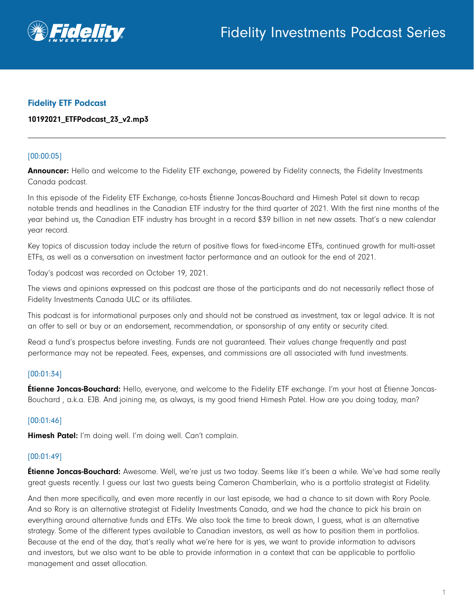

### Fidelity ETF Podcast

### 10192021\_ETFPodcast\_23\_v2.mp3

### [00:00:05]

Announcer: Hello and welcome to the Fidelity ETF exchange, powered by Fidelity connects, the Fidelity Investments Canada podcast.

In this episode of the Fidelity ETF Exchange, co-hosts Étienne Joncas-Bouchard and Himesh Patel sit down to recap notable trends and headlines in the Canadian ETF industry for the third quarter of 2021. With the first nine months of the year behind us, the Canadian ETF industry has brought in a record \$39 billion in net new assets. That's a new calendar year record.

Key topics of discussion today include the return of positive flows for fixed-income ETFs, continued growth for multi-asset ETFs, as well as a conversation on investment factor performance and an outlook for the end of 2021.

Today's podcast was recorded on October 19, 2021.

The views and opinions expressed on this podcast are those of the participants and do not necessarily reflect those of Fidelity Investments Canada ULC or its affiliates.

This podcast is for informational purposes only and should not be construed as investment, tax or legal advice. It is not an offer to sell or buy or an endorsement, recommendation, or sponsorship of any entity or security cited.

Read a fund's prospectus before investing. Funds are not guaranteed. Their values change frequently and past performance may not be repeated. Fees, expenses, and commissions are all associated with fund investments.

### [00:01:34]

**Étienne Joncas-Bouchard:** Hello, everyone, and welcome to the Fidelity ETF exchange. I'm your host at Étienne Joncas-Bouchard , a.k.a. EJB. And joining me, as always, is my good friend Himesh Patel. How are you doing today, man?

### [00:01:46]

Himesh Patel: I'm doing well. I'm doing well. Can't complain.

### [00:01:49]

**Étienne Joncas-Bouchard:** Awesome. Well, we're just us two today. Seems like it's been a while. We've had some really great guests recently. I guess our last two guests being Cameron Chamberlain, who is a portfolio strategist at Fidelity.

And then more specifically, and even more recently in our last episode, we had a chance to sit down with Rory Poole. And so Rory is an alternative strategist at Fidelity Investments Canada, and we had the chance to pick his brain on everything around alternative funds and ETFs. We also took the time to break down, I guess, what is an alternative strategy. Some of the different types available to Canadian investors, as well as how to position them in portfolios. Because at the end of the day, that's really what we're here for is yes, we want to provide information to advisors and investors, but we also want to be able to provide information in a context that can be applicable to portfolio management and asset allocation.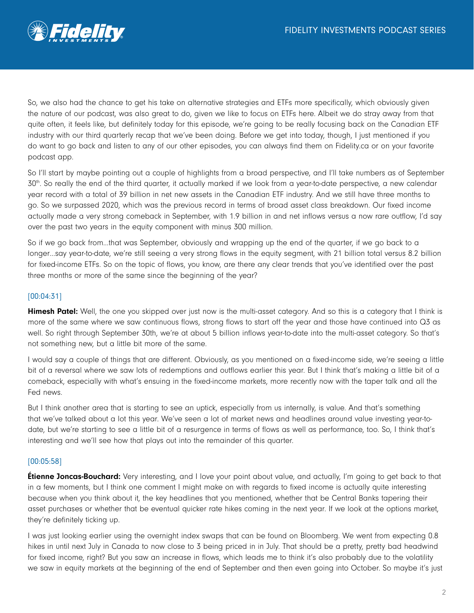

So, we also had the chance to get his take on alternative strategies and ETFs more specifically, which obviously given the nature of our podcast, was also great to do, given we like to focus on ETFs here. Albeit we do stray away from that quite often, it feels like, but definitely today for this episode, we're going to be really focusing back on the Canadian ETF industry with our third quarterly recap that we've been doing. Before we get into today, though, I just mentioned if you do want to go back and listen to any of our other episodes, you can always find them on Fidelity.ca or on your favorite podcast app.

So I'll start by maybe pointing out a couple of highlights from a broad perspective, and I'll take numbers as of September 30th. So really the end of the third quarter, it actually marked if we look from a year-to-date perspective, a new calendar year record with a total of 39 billion in net new assets in the Canadian ETF industry. And we still have three months to go. So we surpassed 2020, which was the previous record in terms of broad asset class breakdown. Our fixed income actually made a very strong comeback in September, with 1.9 billion in and net inflows versus a now rare outflow, I'd say over the past two years in the equity component with minus 300 million.

So if we go back from…that was September, obviously and wrapping up the end of the quarter, if we go back to a longer…say year-to-date, we're still seeing a very strong flows in the equity segment, with 21 billion total versus 8.2 billion for fixed-income ETFs. So on the topic of flows, you know, are there any clear trends that you've identified over the past three months or more of the same since the beginning of the year?

# [00:04:31]

Himesh Patel: Well, the one you skipped over just now is the multi-asset category. And so this is a category that I think is more of the same where we saw continuous flows, strong flows to start off the year and those have continued into Q3 as well. So right through September 30th, we're at about 5 billion inflows year-to-date into the multi-asset category. So that's not something new, but a little bit more of the same.

I would say a couple of things that are different. Obviously, as you mentioned on a fixed-income side, we're seeing a little bit of a reversal where we saw lots of redemptions and outflows earlier this year. But I think that's making a little bit of a comeback, especially with what's ensuing in the fixed-income markets, more recently now with the taper talk and all the Fed news.

But I think another area that is starting to see an uptick, especially from us internally, is value. And that's something that we've talked about a lot this year. We've seen a lot of market news and headlines around value investing year-todate, but we're starting to see a little bit of a resurgence in terms of flows as well as performance, too. So, I think that's interesting and we'll see how that plays out into the remainder of this quarter.

### [00:05:58]

**Étienne Joncas-Bouchard:** Very interesting, and I love your point about value, and actually, I'm going to get back to that in a few moments, but I think one comment I might make on with regards to fixed income is actually quite interesting because when you think about it, the key headlines that you mentioned, whether that be Central Banks tapering their asset purchases or whether that be eventual quicker rate hikes coming in the next year. If we look at the options market, they're definitely ticking up.

I was just looking earlier using the overnight index swaps that can be found on Bloomberg. We went from expecting 0.8 hikes in until next July in Canada to now close to 3 being priced in in July. That should be a pretty, pretty bad headwind for fixed income, right? But you saw an increase in flows, which leads me to think it's also probably due to the volatility we saw in equity markets at the beginning of the end of September and then even going into October. So maybe it's just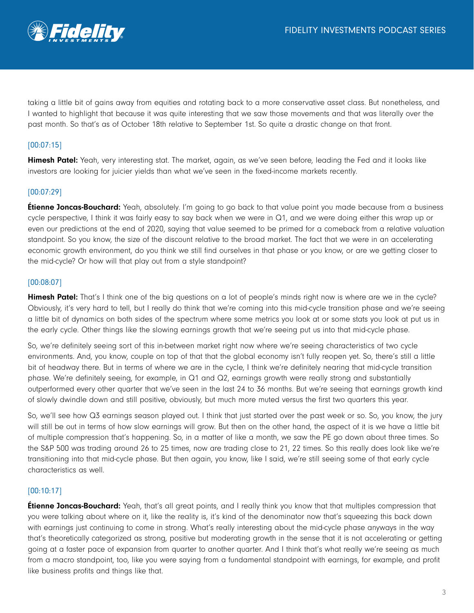

taking a little bit of gains away from equities and rotating back to a more conservative asset class. But nonetheless, and I wanted to highlight that because it was quite interesting that we saw those movements and that was literally over the past month. So that's as of October 18th relative to September 1st. So quite a drastic change on that front.

# [00:07:15]

Himesh Patel: Yeah, very interesting stat. The market, again, as we've seen before, leading the Fed and it looks like investors are looking for juicier yields than what we've seen in the fixed-income markets recently.

### [00:07:29]

**Étienne Joncas-Bouchard:** Yeah, absolutely. I'm going to go back to that value point you made because from a business cycle perspective, I think it was fairly easy to say back when we were in Q1, and we were doing either this wrap up or even our predictions at the end of 2020, saying that value seemed to be primed for a comeback from a relative valuation standpoint. So you know, the size of the discount relative to the broad market. The fact that we were in an accelerating economic growth environment, do you think we still find ourselves in that phase or you know, or are we getting closer to the mid-cycle? Or how will that play out from a style standpoint?

#### [00:08:07]

Himesh Patel: That's I think one of the big questions on a lot of people's minds right now is where are we in the cycle? Obviously, it's very hard to tell, but I really do think that we're coming into this mid-cycle transition phase and we're seeing a little bit of dynamics on both sides of the spectrum where some metrics you look at or some stats you look at put us in the early cycle. Other things like the slowing earnings growth that we're seeing put us into that mid-cycle phase.

So, we're definitely seeing sort of this in-between market right now where we're seeing characteristics of two cycle environments. And, you know, couple on top of that that the global economy isn't fully reopen yet. So, there's still a little bit of headway there. But in terms of where we are in the cycle, I think we're definitely nearing that mid-cycle transition phase. We're definitely seeing, for example, in Q1 and Q2, earnings growth were really strong and substantially outperformed every other quarter that we've seen in the last 24 to 36 months. But we're seeing that earnings growth kind of slowly dwindle down and still positive, obviously, but much more muted versus the first two quarters this year.

So, we'll see how Q3 earnings season played out. I think that just started over the past week or so. So, you know, the jury will still be out in terms of how slow earnings will grow. But then on the other hand, the aspect of it is we have a little bit of multiple compression that's happening. So, in a matter of like a month, we saw the PE go down about three times. So the S&P 500 was trading around 26 to 25 times, now are trading close to 21, 22 times. So this really does look like we're transitioning into that mid-cycle phase. But then again, you know, like I said, we're still seeing some of that early cycle characteristics as well.

#### [00:10:17]

**Étienne Joncas-Bouchard:** Yeah, that's all great points, and I really think you know that that multiples compression that you were talking about where on it, like the reality is, it's kind of the denominator now that's squeezing this back down with earnings just continuing to come in strong. What's really interesting about the mid-cycle phase anyways in the way that's theoretically categorized as strong, positive but moderating growth in the sense that it is not accelerating or getting going at a faster pace of expansion from quarter to another quarter. And I think that's what really we're seeing as much from a macro standpoint, too, like you were saying from a fundamental standpoint with earnings, for example, and profit like business profits and things like that.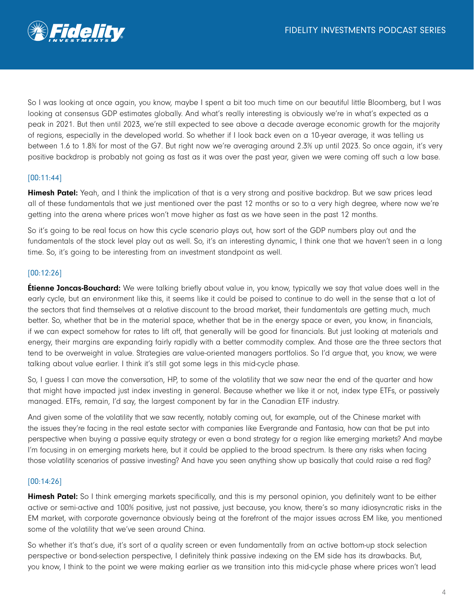

So I was looking at once again, you know, maybe I spent a bit too much time on our beautiful little Bloomberg, but I was looking at consensus GDP estimates globally. And what's really interesting is obviously we're in what's expected as a peak in 2021. But then until 2023, we're still expected to see above a decade average economic growth for the majority of regions, especially in the developed world. So whether if I look back even on a 10-year average, it was telling us between 1.6 to 1.8% for most of the G7. But right now we're averaging around 2.3% up until 2023. So once again, it's very positive backdrop is probably not going as fast as it was over the past year, given we were coming off such a low base.

### [00:11:44]

Himesh Patel: Yeah, and I think the implication of that is a very strong and positive backdrop. But we saw prices lead all of these fundamentals that we just mentioned over the past 12 months or so to a very high degree, where now we're getting into the arena where prices won't move higher as fast as we have seen in the past 12 months.

So it's going to be real focus on how this cycle scenario plays out, how sort of the GDP numbers play out and the fundamentals of the stock level play out as well. So, it's an interesting dynamic, I think one that we haven't seen in a long time. So, it's going to be interesting from an investment standpoint as well.

## [00:12:26]

**Etienne Joncas-Bouchard:** We were talking briefly about value in, you know, typically we say that value does well in the early cycle, but an environment like this, it seems like it could be poised to continue to do well in the sense that a lot of the sectors that find themselves at a relative discount to the broad market, their fundamentals are getting much, much better. So, whether that be in the material space, whether that be in the energy space or even, you know, in financials, if we can expect somehow for rates to lift off, that generally will be good for financials. But just looking at materials and energy, their margins are expanding fairly rapidly with a better commodity complex. And those are the three sectors that tend to be overweight in value. Strategies are value-oriented managers portfolios. So I'd argue that, you know, we were talking about value earlier. I think it's still got some legs in this mid-cycle phase.

So, I guess I can move the conversation, HP, to some of the volatility that we saw near the end of the quarter and how that might have impacted just index investing in general. Because whether we like it or not, index type ETFs, or passively managed. ETFs, remain, I'd say, the largest component by far in the Canadian ETF industry.

And given some of the volatility that we saw recently, notably coming out, for example, out of the Chinese market with the issues they're facing in the real estate sector with companies like Evergrande and Fantasia, how can that be put into perspective when buying a passive equity strategy or even a bond strategy for a region like emerging markets? And maybe I'm focusing in on emerging markets here, but it could be applied to the broad spectrum. Is there any risks when facing those volatility scenarios of passive investing? And have you seen anything show up basically that could raise a red flag?

### [00:14:26]

Himesh Patel: So I think emerging markets specifically, and this is my personal opinion, you definitely want to be either active or semi-active and 100% positive, just not passive, just because, you know, there's so many idiosyncratic risks in the EM market, with corporate governance obviously being at the forefront of the major issues across EM like, you mentioned some of the volatility that we've seen around China.

So whether it's that's due, it's sort of a quality screen or even fundamentally from an active bottom-up stock selection perspective or bond-selection perspective, I definitely think passive indexing on the EM side has its drawbacks. But, you know, I think to the point we were making earlier as we transition into this mid-cycle phase where prices won't lead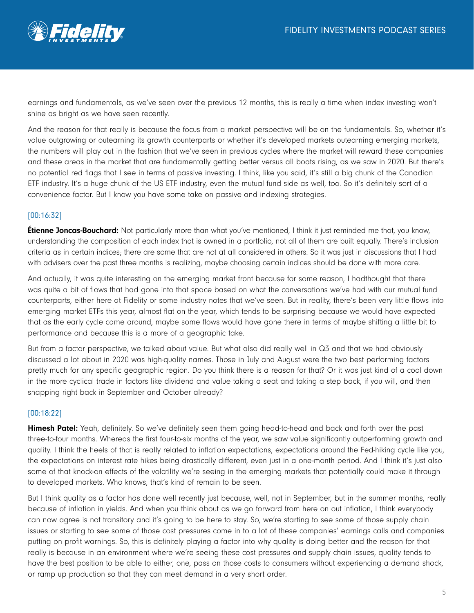

earnings and fundamentals, as we've seen over the previous 12 months, this is really a time when index investing won't shine as bright as we have seen recently.

And the reason for that really is because the focus from a market perspective will be on the fundamentals. So, whether it's value outgrowing or outearning its growth counterparts or whether it's developed markets outearning emerging markets, the numbers will play out in the fashion that we've seen in previous cycles where the market will reward these companies and these areas in the market that are fundamentally getting better versus all boats rising, as we saw in 2020. But there's no potential red flags that I see in terms of passive investing. I think, like you said, it's still a big chunk of the Canadian ETF industry. It's a huge chunk of the US ETF industry, even the mutual fund side as well, too. So it's definitely sort of a convenience factor. But I know you have some take on passive and indexing strategies.

## [00:16:32]

**Étienne Joncas-Bouchard:** Not particularly more than what you've mentioned, I think it just reminded me that, you know, understanding the composition of each index that is owned in a portfolio, not all of them are built equally. There's inclusion criteria as in certain indices; there are some that are not at all considered in others. So it was just in discussions that I had with advisers over the past three months is realizing, maybe choosing certain indices should be done with more care.

And actually, it was quite interesting on the emerging market front because for some reason, I hadthought that there was quite a bit of flows that had gone into that space based on what the conversations we've had with our mutual fund counterparts, either here at Fidelity or some industry notes that we've seen. But in reality, there's been very little flows into emerging market ETFs this year, almost flat on the year, which tends to be surprising because we would have expected that as the early cycle came around, maybe some flows would have gone there in terms of maybe shifting a little bit to performance and because this is a more of a geographic take.

But from a factor perspective, we talked about value. But what also did really well in Q3 and that we had obviously discussed a lot about in 2020 was high-quality names. Those in July and August were the two best performing factors pretty much for any specific geographic region. Do you think there is a reason for that? Or it was just kind of a cool down in the more cyclical trade in factors like dividend and value taking a seat and taking a step back, if you will, and then snapping right back in September and October already?

### [00:18:22]

Himesh Patel: Yeah, definitely. So we've definitely seen them going head-to-head and back and forth over the past three-to-four months. Whereas the first four-to-six months of the year, we saw value significantly outperforming growth and quality. I think the heels of that is really related to inflation expectations, expectations around the Fed-hiking cycle like you, the expectations on interest rate hikes being drastically different, even just in a one-month period. And I think it's just also some of that knock-on effects of the volatility we're seeing in the emerging markets that potentially could make it through to developed markets. Who knows, that's kind of remain to be seen.

But I think quality as a factor has done well recently just because, well, not in September, but in the summer months, really because of inflation in yields. And when you think about as we go forward from here on out inflation, I think everybody can now agree is not transitory and it's going to be here to stay. So, we're starting to see some of those supply chain issues or starting to see some of those cost pressures come in to a lot of these companies' earnings calls and companies putting on profit warnings. So, this is definitely playing a factor into why quality is doing better and the reason for that really is because in an environment where we're seeing these cost pressures and supply chain issues, quality tends to have the best position to be able to either, one, pass on those costs to consumers without experiencing a demand shock, or ramp up production so that they can meet demand in a very short order.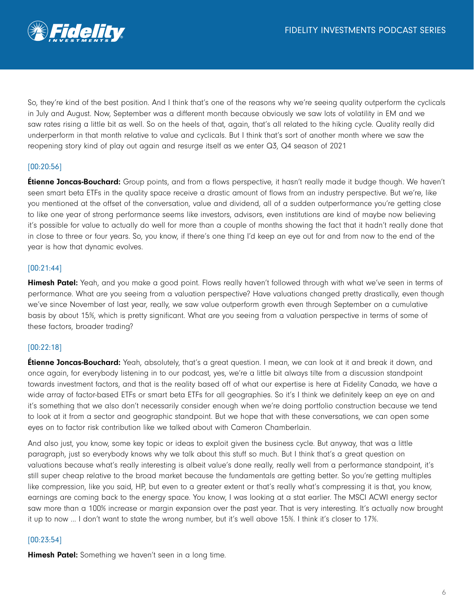

So, they're kind of the best position. And I think that's one of the reasons why we're seeing quality outperform the cyclicals in July and August. Now, September was a different month because obviously we saw lots of volatility in EM and we saw rates rising a little bit as well. So on the heels of that, again, that's all related to the hiking cycle. Quality really did underperform in that month relative to value and cyclicals. But I think that's sort of another month where we saw the reopening story kind of play out again and resurge itself as we enter Q3, Q4 season of 2021

## [00:20:56]

**Étienne Joncas-Bouchard:** Group points, and from a flows perspective, it hasn't really made it budge though. We haven't seen smart beta ETFs in the quality space receive a drastic amount of flows from an industry perspective. But we're, like you mentioned at the offset of the conversation, value and dividend, all of a sudden outperformance you're getting close to like one year of strong performance seems like investors, advisors, even institutions are kind of maybe now believing it's possible for value to actually do well for more than a couple of months showing the fact that it hadn't really done that in close to three or four years. So, you know, if there's one thing I'd keep an eye out for and from now to the end of the year is how that dynamic evolves.

### [00:21:44]

**Himesh Patel:** Yeah, and you make a good point. Flows really haven't followed through with what we've seen in terms of performance. What are you seeing from a valuation perspective? Have valuations changed pretty drastically, even though we've since November of last year, really, we saw value outperform growth even through September on a cumulative basis by about 15%, which is pretty significant. What are you seeing from a valuation perspective in terms of some of these factors, broader trading?

### [00:22:18]

**Étienne Joncas-Bouchard:** Yeah, absolutely, that's a great question. I mean, we can look at it and break it down, and once again, for everybody listening in to our podcast, yes, we're a little bit always tilte from a discussion standpoint towards investment factors, and that is the reality based off of what our expertise is here at Fidelity Canada, we have a wide array of factor-based ETFs or smart beta ETFs for all geographies. So it's I think we definitely keep an eye on and it's something that we also don't necessarily consider enough when we're doing portfolio construction because we tend to look at it from a sector and geographic standpoint. But we hope that with these conversations, we can open some eyes on to factor risk contribution like we talked about with Cameron Chamberlain.

And also just, you know, some key topic or ideas to exploit given the business cycle. But anyway, that was a little paragraph, just so everybody knows why we talk about this stuff so much. But I think that's a great question on valuations because what's really interesting is albeit value's done really, really well from a performance standpoint, it's still super cheap relative to the broad market because the fundamentals are getting better. So you're getting multiples like compression, like you said, HP, but even to a greater extent or that's really what's compressing it is that, you know, earnings are coming back to the energy space. You know, I was looking at a stat earlier. The MSCI ACWI energy sector saw more than a 100% increase or margin expansion over the past year. That is very interesting. It's actually now brought it up to now ... I don't want to state the wrong number, but it's well above 15%. I think it's closer to 17%.

#### [00:23:54]

**Himesh Patel:** Something we haven't seen in a long time.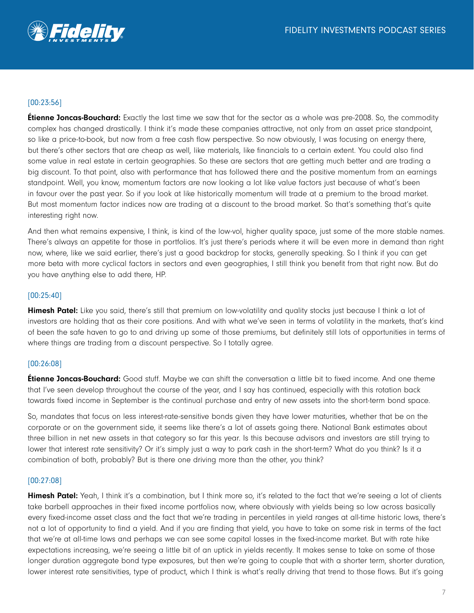

# [00:23:56]

**Étienne Joncas-Bouchard:** Exactly the last time we saw that for the sector as a whole was pre-2008. So, the commodity complex has changed drastically. I think it's made these companies attractive, not only from an asset price standpoint, so like a price-to-book, but now from a free cash flow perspective. So now obviously, I was focusing on energy there, but there's other sectors that are cheap as well, like materials, like financials to a certain extent. You could also find some value in real estate in certain geographies. So these are sectors that are getting much better and are trading a big discount. To that point, also with performance that has followed there and the positive momentum from an earnings standpoint. Well, you know, momentum factors are now looking a lot like value factors just because of what's been in favour over the past year. So if you look at like historically momentum will trade at a premium to the broad market. But most momentum factor indices now are trading at a discount to the broad market. So that's something that's quite interesting right now.

And then what remains expensive, I think, is kind of the low-vol, higher quality space, just some of the more stable names. There's always an appetite for those in portfolios. It's just there's periods where it will be even more in demand than right now, where, like we said earlier, there's just a good backdrop for stocks, generally speaking. So I think if you can get more beta with more cyclical factors in sectors and even geographies, I still think you benefit from that right now. But do you have anything else to add there, HP.

### [00:25:40]

Himesh Patel: Like you said, there's still that premium on low-volatility and quality stocks just because I think a lot of investors are holding that as their core positions. And with what we've seen in terms of volatility in the markets, that's kind of been the safe haven to go to and driving up some of those premiums, but definitely still lots of opportunities in terms of where things are trading from a discount perspective. So I totally agree.

### [00:26:08]

**Étienne Joncas-Bouchard:** Good stuff. Maybe we can shift the conversation a little bit to fixed income. And one theme that I've seen develop throughout the course of the year, and I say has continued, especially with this rotation back towards fixed income in September is the continual purchase and entry of new assets into the short-term bond space.

So, mandates that focus on less interest-rate-sensitive bonds given they have lower maturities, whether that be on the corporate or on the government side, it seems like there's a lot of assets going there. National Bank estimates about three billion in net new assets in that category so far this year. Is this because advisors and investors are still trying to lower that interest rate sensitivity? Or it's simply just a way to park cash in the short-term? What do you think? Is it a combination of both, probably? But is there one driving more than the other, you think?

### [00:27:08]

**Himesh Patel:** Yeah, I think it's a combination, but I think more so, it's related to the fact that we're seeing a lot of clients take barbell approaches in their fixed income portfolios now, where obviously with yields being so low across basically every fixed-income asset class and the fact that we're trading in percentiles in yield ranges at all-time historic lows, there's not a lot of opportunity to find a yield. And if you are finding that yield, you have to take on some risk in terms of the fact that we're at all-time lows and perhaps we can see some capital losses in the fixed-income market. But with rate hike expectations increasing, we're seeing a little bit of an uptick in yields recently. It makes sense to take on some of those longer duration aggregate bond type exposures, but then we're going to couple that with a shorter term, shorter duration, lower interest rate sensitivities, type of product, which I think is what's really driving that trend to those flows. But it's going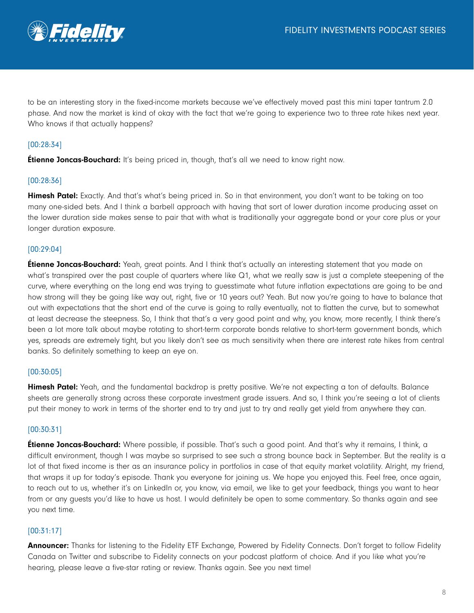

to be an interesting story in the fixed-income markets because we've effectively moved past this mini taper tantrum 2.0 phase. And now the market is kind of okay with the fact that we're going to experience two to three rate hikes next year. Who knows if that actually happens?

# [00:28:34]

**Étienne Joncas-Bouchard:** It's being priced in, though, that's all we need to know right now.

### [00:28:36]

**Himesh Patel:** Exactly. And that's what's being priced in. So in that environment, you don't want to be taking on too many one-sided bets. And I think a barbell approach with having that sort of lower duration income producing asset on the lower duration side makes sense to pair that with what is traditionally your aggregate bond or your core plus or your longer duration exposure.

## [00:29:04]

**Étienne Joncas-Bouchard:** Yeah, great points. And I think that's actually an interesting statement that you made on what's transpired over the past couple of quarters where like Q1, what we really saw is just a complete steepening of the curve, where everything on the long end was trying to guesstimate what future inflation expectations are going to be and how strong will they be going like way out, right, five or 10 years out? Yeah. But now you're going to have to balance that out with expectations that the short end of the curve is going to rally eventually, not to flatten the curve, but to somewhat at least decrease the steepness. So, I think that that's a very good point and why, you know, more recently, I think there's been a lot more talk about maybe rotating to short-term corporate bonds relative to short-term government bonds, which yes, spreads are extremely tight, but you likely don't see as much sensitivity when there are interest rate hikes from central banks. So definitely something to keep an eye on.

### [00:30:05]

Himesh Patel: Yeah, and the fundamental backdrop is pretty positive. We're not expecting a ton of defaults. Balance sheets are generally strong across these corporate investment grade issuers. And so, I think you're seeing a lot of clients put their money to work in terms of the shorter end to try and just to try and really get yield from anywhere they can.

### [00:30:31]

**Étienne Joncas-Bouchard:** Where possible, if possible. That's such a good point. And that's why it remains, I think, a difficult environment, though I was maybe so surprised to see such a strong bounce back in September. But the reality is a lot of that fixed income is ther as an insurance policy in portfolios in case of that equity market volatility. Alright, my friend, that wraps it up for today's episode. Thank you everyone for joining us. We hope you enjoyed this. Feel free, once again, to reach out to us, whether it's on LinkedIn or, you know, via email, we like to get your feedback, things you want to hear from or any guests you'd like to have us host. I would definitely be open to some commentary. So thanks again and see you next time.

### [00:31:17]

Announcer: Thanks for listening to the Fidelity ETF Exchange, Powered by Fidelity Connects. Don't forget to follow Fidelity Canada on Twitter and subscribe to Fidelity connects on your podcast platform of choice. And if you like what you're hearing, please leave a five-star rating or review. Thanks again. See you next time!